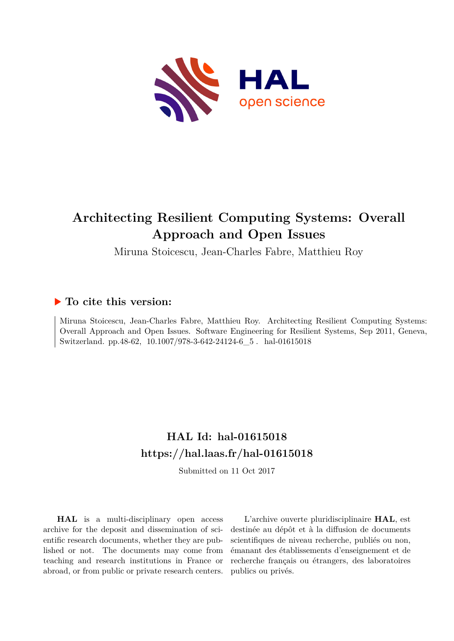

# **Architecting Resilient Computing Systems: Overall Approach and Open Issues**

Miruna Stoicescu, Jean-Charles Fabre, Matthieu Roy

# **To cite this version:**

Miruna Stoicescu, Jean-Charles Fabre, Matthieu Roy. Architecting Resilient Computing Systems: Overall Approach and Open Issues. Software Engineering for Resilient Systems, Sep 2011, Geneva, Switzerland. pp.48-62, 10.1007/978-3-642-24124-6\_5. hal-01615018

# **HAL Id: hal-01615018 <https://hal.laas.fr/hal-01615018>**

Submitted on 11 Oct 2017

**HAL** is a multi-disciplinary open access archive for the deposit and dissemination of scientific research documents, whether they are published or not. The documents may come from teaching and research institutions in France or abroad, or from public or private research centers.

L'archive ouverte pluridisciplinaire **HAL**, est destinée au dépôt et à la diffusion de documents scientifiques de niveau recherche, publiés ou non, émanant des établissements d'enseignement et de recherche français ou étrangers, des laboratoires publics ou privés.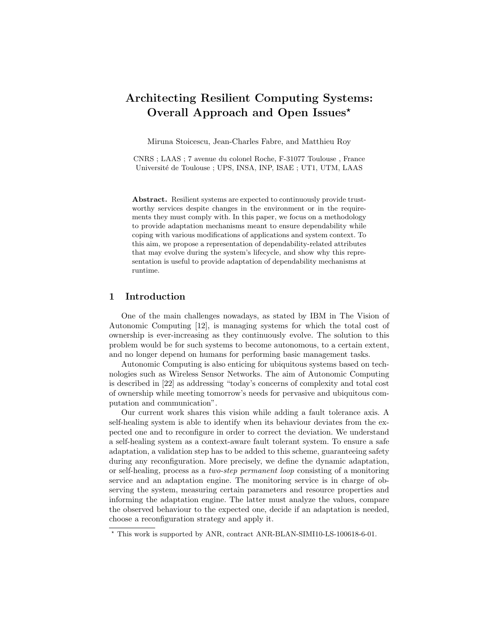# Architecting Resilient Computing Systems: Overall Approach and Open Issues<sup>\*</sup>

Miruna Stoicescu, Jean-Charles Fabre, and Matthieu Roy

CNRS ; LAAS ; 7 avenue du colonel Roche, F-31077 Toulouse , France Universit´e de Toulouse ; UPS, INSA, INP, ISAE ; UT1, UTM, LAAS

Abstract. Resilient systems are expected to continuously provide trustworthy services despite changes in the environment or in the requirements they must comply with. In this paper, we focus on a methodology to provide adaptation mechanisms meant to ensure dependability while coping with various modifications of applications and system context. To this aim, we propose a representation of dependability-related attributes that may evolve during the system's lifecycle, and show why this representation is useful to provide adaptation of dependability mechanisms at runtime.

#### 1 Introduction

One of the main challenges nowadays, as stated by IBM in The Vision of Autonomic Computing [12], is managing systems for which the total cost of ownership is ever-increasing as they continuously evolve. The solution to this problem would be for such systems to become autonomous, to a certain extent, and no longer depend on humans for performing basic management tasks.

Autonomic Computing is also enticing for ubiquitous systems based on technologies such as Wireless Sensor Networks. The aim of Autonomic Computing is described in [22] as addressing "today's concerns of complexity and total cost of ownership while meeting tomorrow's needs for pervasive and ubiquitous computation and communication".

Our current work shares this vision while adding a fault tolerance axis. A self-healing system is able to identify when its behaviour deviates from the expected one and to reconfigure in order to correct the deviation. We understand a self-healing system as a context-aware fault tolerant system. To ensure a safe adaptation, a validation step has to be added to this scheme, guaranteeing safety during any reconfiguration. More precisely, we define the dynamic adaptation, or self-healing, process as a two-step permanent loop consisting of a monitoring service and an adaptation engine. The monitoring service is in charge of observing the system, measuring certain parameters and resource properties and informing the adaptation engine. The latter must analyze the values, compare the observed behaviour to the expected one, decide if an adaptation is needed, choose a reconfiguration strategy and apply it.

<sup>?</sup> This work is supported by ANR, contract ANR-BLAN-SIMI10-LS-100618-6-01.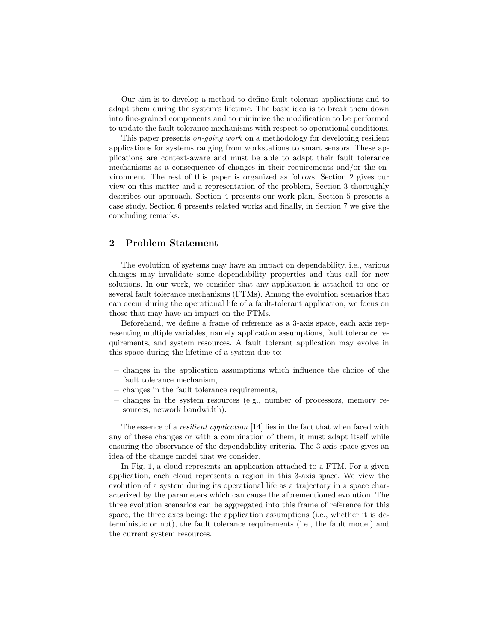Our aim is to develop a method to define fault tolerant applications and to adapt them during the system's lifetime. The basic idea is to break them down into fine-grained components and to minimize the modification to be performed to update the fault tolerance mechanisms with respect to operational conditions.

This paper presents on-going work on a methodology for developing resilient applications for systems ranging from workstations to smart sensors. These applications are context-aware and must be able to adapt their fault tolerance mechanisms as a consequence of changes in their requirements and/or the environment. The rest of this paper is organized as follows: Section 2 gives our view on this matter and a representation of the problem, Section 3 thoroughly describes our approach, Section 4 presents our work plan, Section 5 presents a case study, Section 6 presents related works and finally, in Section 7 we give the concluding remarks.

#### 2 Problem Statement

The evolution of systems may have an impact on dependability, i.e., various changes may invalidate some dependability properties and thus call for new solutions. In our work, we consider that any application is attached to one or several fault tolerance mechanisms (FTMs). Among the evolution scenarios that can occur during the operational life of a fault-tolerant application, we focus on those that may have an impact on the FTMs.

Beforehand, we define a frame of reference as a 3-axis space, each axis representing multiple variables, namely application assumptions, fault tolerance requirements, and system resources. A fault tolerant application may evolve in this space during the lifetime of a system due to:

- changes in the application assumptions which influence the choice of the fault tolerance mechanism,
- changes in the fault tolerance requirements,
- changes in the system resources (e.g., number of processors, memory resources, network bandwidth).

The essence of a *resilient application* [14] lies in the fact that when faced with any of these changes or with a combination of them, it must adapt itself while ensuring the observance of the dependability criteria. The 3-axis space gives an idea of the change model that we consider.

In Fig. 1, a cloud represents an application attached to a FTM. For a given application, each cloud represents a region in this 3-axis space. We view the evolution of a system during its operational life as a trajectory in a space characterized by the parameters which can cause the aforementioned evolution. The three evolution scenarios can be aggregated into this frame of reference for this space, the three axes being: the application assumptions (i.e., whether it is deterministic or not), the fault tolerance requirements (i.e., the fault model) and the current system resources.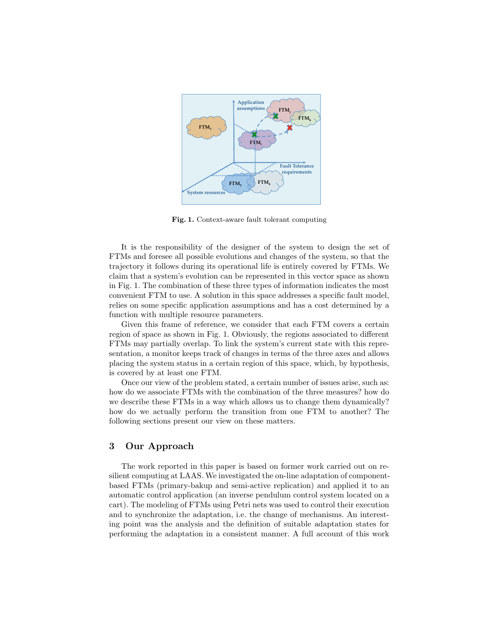

Fig. 1. Context-aware fault tolerant computing

It is the responsibility of the designer of the system to design the set of FTMs and foresee all possible evolutions and changes of the system, so that the trajectory it follows during its operational life is entirely covered by FTMs. We claim that a system's evolution can be represented in this vector space as shown in Fig. 1. The combination of these three types of information indicates the most convenient FTM to use. A solution in this space addresses a specific fault model, relies on some specific application assumptions and has a cost determined by a function with multiple resource parameters.

Given this frame of reference, we consider that each FTM covers a certain region of space as shown in Fig. 1. Obviously, the regions associated to different FTMs may partially overlap. To link the system's current state with this representation, a monitor keeps track of changes in terms of the three axes and allows placing the system status in a certain region of this space, which, by hypothesis, is covered by at least one FTM.

Once our view of the problem stated, a certain number of issues arise, such as: how do we associate FTMs with the combination of the three measures? how do we describe these FTMs in a way which allows us to change them dynamically? how do we actually perform the transition from one FTM to another? The following sections present our view on these matters.

## 3 Our Approach

The work reported in this paper is based on former work carried out on resilient computing at LAAS. We investigated the on-line adaptation of componentbased FTMs (primary-bakup and semi-active replication) and applied it to an automatic control application (an inverse pendulum control system located on a cart). The modeling of FTMs using Petri nets was used to control their execution and to synchronize the adaptation, i.e. the change of mechanisms. An interesting point was the analysis and the definition of suitable adaptation states for performing the adaptation in a consistent manner. A full account of this work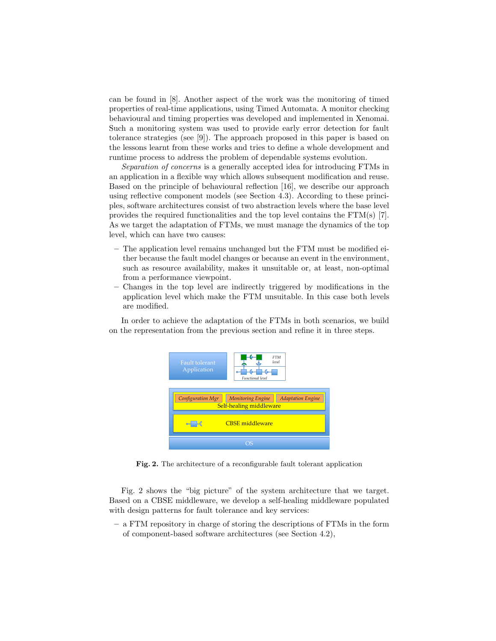can be found in [8]. Another aspect of the work was the monitoring of timed properties of real-time applications, using Timed Automata. A monitor checking behavioural and timing properties was developed and implemented in Xenomai. Such a monitoring system was used to provide early error detection for fault tolerance strategies (see [9]). The approach proposed in this paper is based on the lessons learnt from these works and tries to define a whole development and runtime process to address the problem of dependable systems evolution.

Separation of concerns is a generally accepted idea for introducing FTMs in an application in a flexible way which allows subsequent modification and reuse. Based on the principle of behavioural reflection [16], we describe our approach using reflective component models (see Section 4.3). According to these principles, software architectures consist of two abstraction levels where the base level provides the required functionalities and the top level contains the FTM(s) [7]. As we target the adaptation of FTMs, we must manage the dynamics of the top level, which can have two causes:

- The application level remains unchanged but the FTM must be modified either because the fault model changes or because an event in the environment, such as resource availability, makes it unsuitable or, at least, non-optimal from a performance viewpoint.
- Changes in the top level are indirectly triggered by modifications in the application level which make the FTM unsuitable. In this case both levels are modified.

In order to achieve the adaptation of the FTMs in both scenarios, we build on the representation from the previous section and refine it in three steps.



Fig. 2. The architecture of a reconfigurable fault tolerant application

Fig. 2 shows the "big picture" of the system architecture that we target. Based on a CBSE middleware, we develop a self-healing middleware populated with design patterns for fault tolerance and key services:

– a FTM repository in charge of storing the descriptions of FTMs in the form of component-based software architectures (see Section 4.2),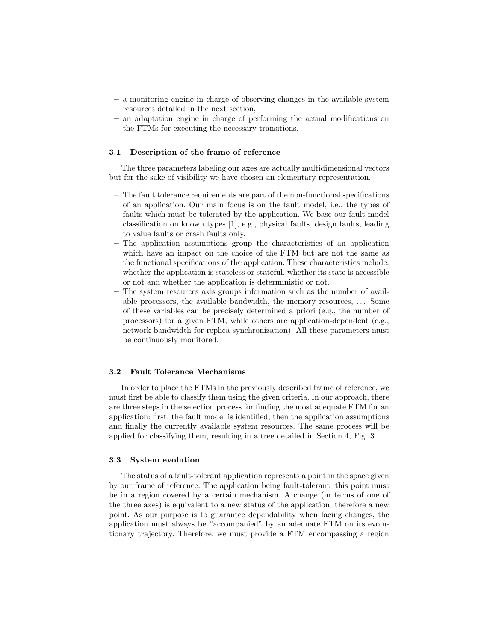- a monitoring engine in charge of observing changes in the available system resources detailed in the next section,
- an adaptation engine in charge of performing the actual modifications on the FTMs for executing the necessary transitions.

#### 3.1 Description of the frame of reference

The three parameters labeling our axes are actually multidimensional vectors but for the sake of visibility we have chosen an elementary representation.

- The fault tolerance requirements are part of the non-functional specifications of an application. Our main focus is on the fault model, i.e., the types of faults which must be tolerated by the application. We base our fault model classification on known types [1], e.g., physical faults, design faults, leading to value faults or crash faults only.
- The application assumptions group the characteristics of an application which have an impact on the choice of the FTM but are not the same as the functional specifications of the application. These characteristics include: whether the application is stateless or stateful, whether its state is accessible or not and whether the application is deterministic or not.
- The system resources axis groups information such as the number of available processors, the available bandwidth, the memory resources, . . . Some of these variables can be precisely determined a priori (e.g., the number of processors) for a given FTM, while others are application-dependent (e.g., network bandwidth for replica synchronization). All these parameters must be continuously monitored.

#### 3.2 Fault Tolerance Mechanisms

In order to place the FTMs in the previously described frame of reference, we must first be able to classify them using the given criteria. In our approach, there are three steps in the selection process for finding the most adequate FTM for an application: first, the fault model is identified, then the application assumptions and finally the currently available system resources. The same process will be applied for classifying them, resulting in a tree detailed in Section 4, Fig. 3.

#### 3.3 System evolution

The status of a fault-tolerant application represents a point in the space given by our frame of reference. The application being fault-tolerant, this point must be in a region covered by a certain mechanism. A change (in terms of one of the three axes) is equivalent to a new status of the application, therefore a new point. As our purpose is to guarantee dependability when facing changes, the application must always be "accompanied" by an adequate FTM on its evolutionary trajectory. Therefore, we must provide a FTM encompassing a region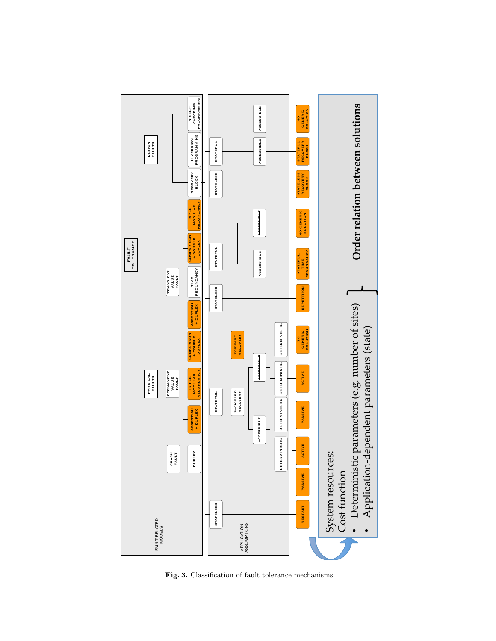

Fig. 3. Classification of fault tolerance mechanisms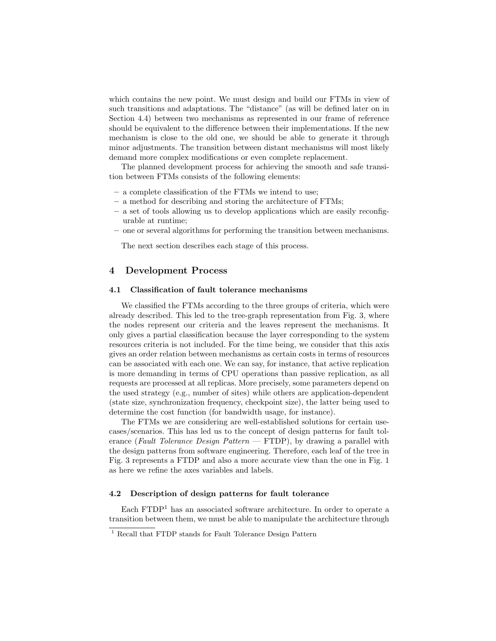which contains the new point. We must design and build our FTMs in view of such transitions and adaptations. The "distance" (as will be defined later on in Section 4.4) between two mechanisms as represented in our frame of reference should be equivalent to the difference between their implementations. If the new mechanism is close to the old one, we should be able to generate it through minor adjustments. The transition between distant mechanisms will most likely demand more complex modifications or even complete replacement.

The planned development process for achieving the smooth and safe transition between FTMs consists of the following elements:

- a complete classification of the FTMs we intend to use;
- a method for describing and storing the architecture of FTMs;
- a set of tools allowing us to develop applications which are easily reconfigurable at runtime;
- one or several algorithms for performing the transition between mechanisms.

The next section describes each stage of this process.

#### 4 Development Process

#### 4.1 Classification of fault tolerance mechanisms

We classified the FTMs according to the three groups of criteria, which were already described. This led to the tree-graph representation from Fig. 3, where the nodes represent our criteria and the leaves represent the mechanisms. It only gives a partial classification because the layer corresponding to the system resources criteria is not included. For the time being, we consider that this axis gives an order relation between mechanisms as certain costs in terms of resources can be associated with each one. We can say, for instance, that active replication is more demanding in terms of CPU operations than passive replication, as all requests are processed at all replicas. More precisely, some parameters depend on the used strategy (e.g., number of sites) while others are application-dependent (state size, synchronization frequency, checkpoint size), the latter being used to determine the cost function (for bandwidth usage, for instance).

The FTMs we are considering are well-established solutions for certain usecases/scenarios. This has led us to the concept of design patterns for fault tolerance (Fault Tolerance Design Pattern  $-$  FTDP), by drawing a parallel with the design patterns from software engineering. Therefore, each leaf of the tree in Fig. 3 represents a FTDP and also a more accurate view than the one in Fig. 1 as here we refine the axes variables and labels.

# 4.2 Description of design patterns for fault tolerance

Each FTDP1 has an associated software architecture. In order to operate a transition between them, we must be able to manipulate the architecture through

<sup>&</sup>lt;sup>1</sup> Recall that FTDP stands for Fault Tolerance Design Pattern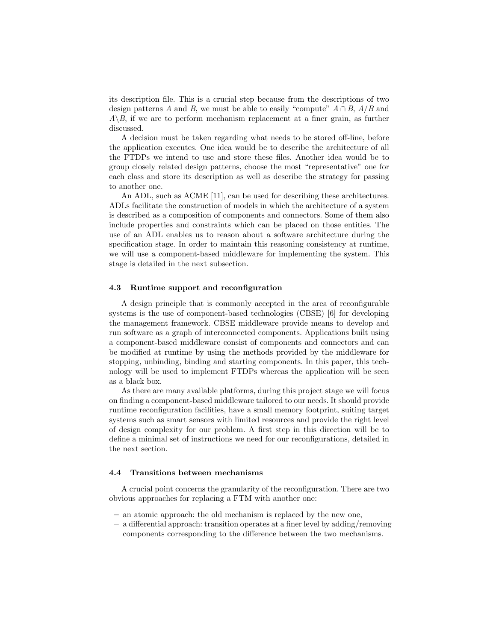its description file. This is a crucial step because from the descriptions of two design patterns A and B, we must be able to easily "compute"  $A \cap B$ ,  $A/B$  and  $A \setminus B$ , if we are to perform mechanism replacement at a finer grain, as further discussed.

A decision must be taken regarding what needs to be stored off-line, before the application executes. One idea would be to describe the architecture of all the FTDPs we intend to use and store these files. Another idea would be to group closely related design patterns, choose the most "representative" one for each class and store its description as well as describe the strategy for passing to another one.

An ADL, such as ACME [11], can be used for describing these architectures. ADLs facilitate the construction of models in which the architecture of a system is described as a composition of components and connectors. Some of them also include properties and constraints which can be placed on those entities. The use of an ADL enables us to reason about a software architecture during the specification stage. In order to maintain this reasoning consistency at runtime, we will use a component-based middleware for implementing the system. This stage is detailed in the next subsection.

#### 4.3 Runtime support and reconfiguration

A design principle that is commonly accepted in the area of reconfigurable systems is the use of component-based technologies (CBSE) [6] for developing the management framework. CBSE middleware provide means to develop and run software as a graph of interconnected components. Applications built using a component-based middleware consist of components and connectors and can be modified at runtime by using the methods provided by the middleware for stopping, unbinding, binding and starting components. In this paper, this technology will be used to implement FTDPs whereas the application will be seen as a black box.

As there are many available platforms, during this project stage we will focus on finding a component-based middleware tailored to our needs. It should provide runtime reconfiguration facilities, have a small memory footprint, suiting target systems such as smart sensors with limited resources and provide the right level of design complexity for our problem. A first step in this direction will be to define a minimal set of instructions we need for our reconfigurations, detailed in the next section.

#### 4.4 Transitions between mechanisms

A crucial point concerns the granularity of the reconfiguration. There are two obvious approaches for replacing a FTM with another one:

- an atomic approach: the old mechanism is replaced by the new one,
- a differential approach: transition operates at a finer level by adding/removing components corresponding to the difference between the two mechanisms.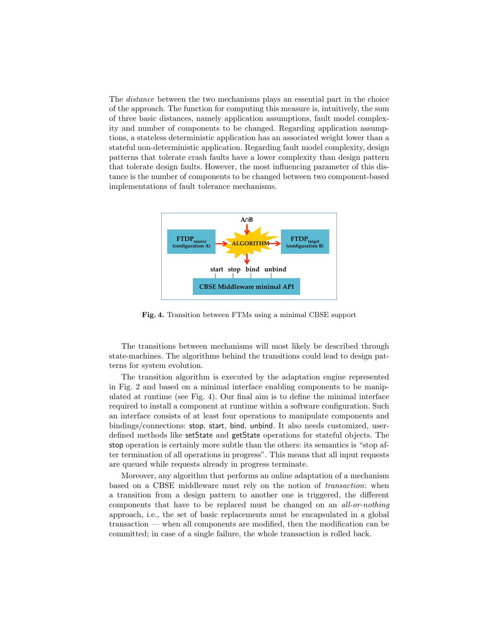The distance between the two mechanisms plays an essential part in the choice of the approach. The function for computing this measure is, intuitively, the sum of three basic distances, namely application assumptions, fault model complexity and number of components to be changed. Regarding application assumptions, a stateless deterministic application has an associated weight lower than a stateful non-deterministic application. Regarding fault model complexity, design patterns that tolerate crash faults have a lower complexity than design pattern that tolerate design faults. However, the most influencing parameter of this distance is the number of components to be changed between two component-based implementations of fault tolerance mechanisms.



Fig. 4. Transition between FTMs using a minimal CBSE support

The transitions between mechanisms will most likely be described through state-machines. The algorithms behind the transitions could lead to design patterns for system evolution.

The transition algorithm is executed by the adaptation engine represented in Fig. 2 and based on a minimal interface enabling components to be manipulated at runtime (see Fig. 4). Our final aim is to define the minimal interface required to install a component at runtime within a software configuration. Such an interface consists of at least four operations to manipulate components and bindings/connections: stop, start, bind, unbind. It also needs customized, userdefined methods like setState and getState operations for stateful objects. The stop operation is certainly more subtle than the others: its semantics is "stop after termination of all operations in progress". This means that all input requests are queued while requests already in progress terminate.

Moreover, any algorithm that performs an online adaptation of a mechanism based on a CBSE middleware must rely on the notion of transaction: when a transition from a design pattern to another one is triggered, the different components that have to be replaced must be changed on an all-or-nothing approach, i.e., the set of basic replacements must be encapsulated in a global transaction — when all components are modified, then the modification can be committed; in case of a single failure, the whole transaction is rolled back.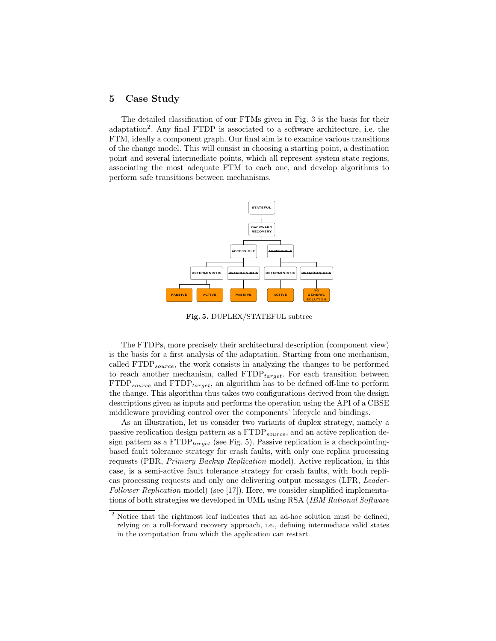### 5 Case Study

The detailed classification of our FTMs given in Fig. 3 is the basis for their adaptation2 . Any final FTDP is associated to a software architecture, i.e. the FTM, ideally a component graph. Our final aim is to examine various transitions of the change model. This will consist in choosing a starting point, a destination point and several intermediate points, which all represent system state regions, associating the most adequate FTM to each one, and develop algorithms to perform safe transitions between mechanisms.



Fig. 5. DUPLEX/STATEFUL subtree

The FTDPs, more precisely their architectural description (component view) is the basis for a first analysis of the adaptation. Starting from one mechanism, called  $\text{FTDP}_{source}$ , the work consists in analyzing the changes to be performed to reach another mechanism, called  $\text{FTDP}_{target}$ . For each transition between  $\text{FTDP}_{source}$  and  $\text{FTDP}_{target}$ , an algorithm has to be defined off-line to perform the change. This algorithm thus takes two configurations derived from the design descriptions given as inputs and performs the operation using the API of a CBSE middleware providing control over the components' lifecycle and bindings.

As an illustration, let us consider two variants of duplex strategy, namely a passive replication design pattern as a  $\text{FTDP}_{source}$ , and an active replication design pattern as a  $\text{FTDP}_{\text{target}}$  (see Fig. 5). Passive replication is a checkpointingbased fault tolerance strategy for crash faults, with only one replica processing requests (PBR, Primary Backup Replication model). Active replication, in this case, is a semi-active fault tolerance strategy for crash faults, with both replicas processing requests and only one delivering output messages (LFR, Leader-Follower Replication model) (see [17]). Here, we consider simplified implementations of both strategies we developed in UML using RSA (IBM Rational Software

<sup>&</sup>lt;sup>2</sup> Notice that the rightmost leaf indicates that an ad-hoc solution must be defined, relying on a roll-forward recovery approach, i.e., defining intermediate valid states in the computation from which the application can restart.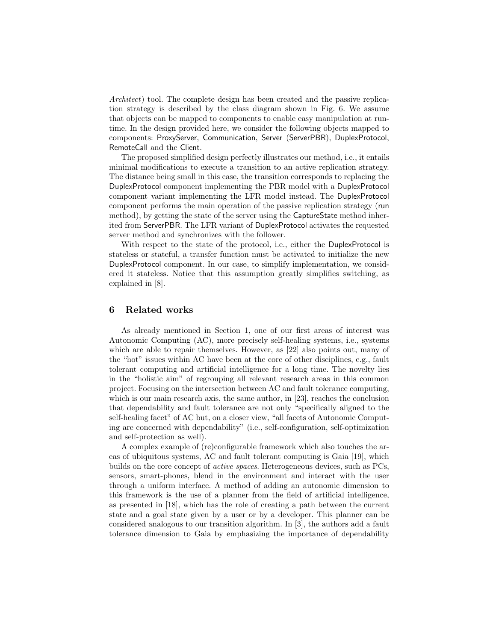Architect) tool. The complete design has been created and the passive replication strategy is described by the class diagram shown in Fig. 6. We assume that objects can be mapped to components to enable easy manipulation at runtime. In the design provided here, we consider the following objects mapped to components: ProxyServer, Communication, Server (ServerPBR), DuplexProtocol, RemoteCall and the Client.

The proposed simplified design perfectly illustrates our method, i.e., it entails minimal modifications to execute a transition to an active replication strategy. The distance being small in this case, the transition corresponds to replacing the DuplexProtocol component implementing the PBR model with a DuplexProtocol component variant implementing the LFR model instead. The DuplexProtocol component performs the main operation of the passive replication strategy (run method), by getting the state of the server using the CaptureState method inherited from ServerPBR. The LFR variant of DuplexProtocol activates the requested server method and synchronizes with the follower.

With respect to the state of the protocol, i.e., either the DuplexProtocol is stateless or stateful, a transfer function must be activated to initialize the new DuplexProtocol component. In our case, to simplify implementation, we considered it stateless. Notice that this assumption greatly simplifies switching, as explained in [8].

#### 6 Related works

As already mentioned in Section 1, one of our first areas of interest was Autonomic Computing (AC), more precisely self-healing systems, i.e., systems which are able to repair themselves. However, as [22] also points out, many of the "hot" issues within AC have been at the core of other disciplines, e.g., fault tolerant computing and artificial intelligence for a long time. The novelty lies in the "holistic aim" of regrouping all relevant research areas in this common project. Focusing on the intersection between AC and fault tolerance computing, which is our main research axis, the same author, in [23], reaches the conclusion that dependability and fault tolerance are not only "specifically aligned to the self-healing facet" of AC but, on a closer view, "all facets of Autonomic Computing are concerned with dependability" (i.e., self-configuration, self-optimization and self-protection as well).

A complex example of (re)configurable framework which also touches the areas of ubiquitous systems, AC and fault tolerant computing is Gaia [19], which builds on the core concept of active spaces. Heterogeneous devices, such as PCs, sensors, smart-phones, blend in the environment and interact with the user through a uniform interface. A method of adding an autonomic dimension to this framework is the use of a planner from the field of artificial intelligence, as presented in [18], which has the role of creating a path between the current state and a goal state given by a user or by a developer. This planner can be considered analogous to our transition algorithm. In [3], the authors add a fault tolerance dimension to Gaia by emphasizing the importance of dependability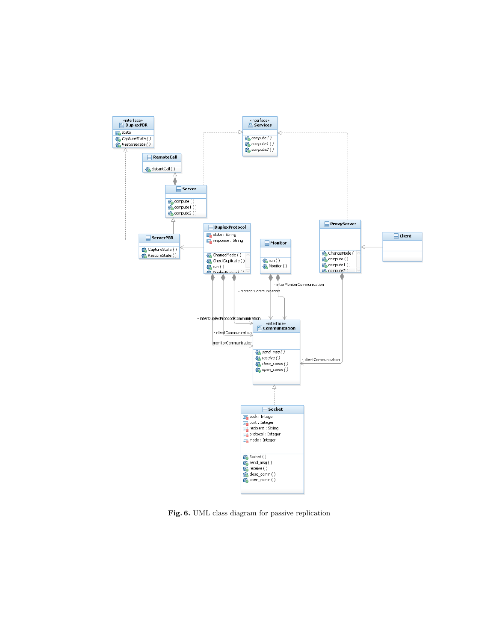

Fig. 6. UML class diagram for passive replication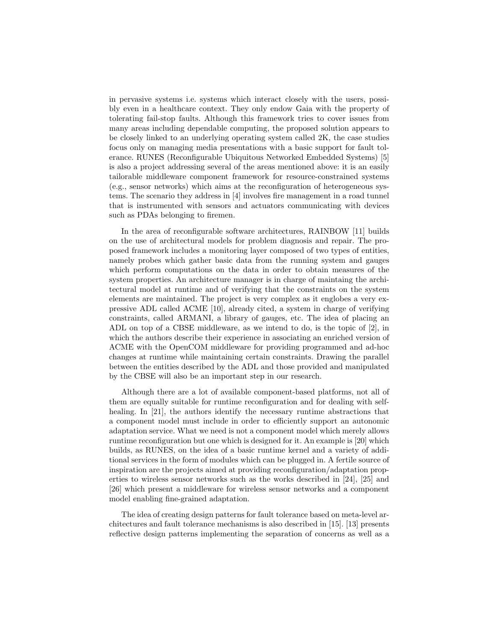in pervasive systems i.e. systems which interact closely with the users, possibly even in a healthcare context. They only endow Gaia with the property of tolerating fail-stop faults. Although this framework tries to cover issues from many areas including dependable computing, the proposed solution appears to be closely linked to an underlying operating system called 2K, the case studies focus only on managing media presentations with a basic support for fault tolerance. RUNES (Reconfigurable Ubiquitous Networked Embedded Systems) [5] is also a project addressing several of the areas mentioned above: it is an easily tailorable middleware component framework for resource-constrained systems (e.g., sensor networks) which aims at the reconfiguration of heterogeneous systems. The scenario they address in [4] involves fire management in a road tunnel that is instrumented with sensors and actuators communicating with devices such as PDAs belonging to firemen.

In the area of reconfigurable software architectures, RAINBOW [11] builds on the use of architectural models for problem diagnosis and repair. The proposed framework includes a monitoring layer composed of two types of entities, namely probes which gather basic data from the running system and gauges which perform computations on the data in order to obtain measures of the system properties. An architecture manager is in charge of maintaing the architectural model at runtime and of verifying that the constraints on the system elements are maintained. The project is very complex as it englobes a very expressive ADL called ACME [10], already cited, a system in charge of verifying constraints, called ARMANI, a library of gauges, etc. The idea of placing an ADL on top of a CBSE middleware, as we intend to do, is the topic of [2], in which the authors describe their experience in associating an enriched version of ACME with the OpenCOM middleware for providing programmed and ad-hoc changes at runtime while maintaining certain constraints. Drawing the parallel between the entities described by the ADL and those provided and manipulated by the CBSE will also be an important step in our research.

Although there are a lot of available component-based platforms, not all of them are equally suitable for runtime reconfiguration and for dealing with selfhealing. In [21], the authors identify the necessary runtime abstractions that a component model must include in order to efficiently support an autonomic adaptation service. What we need is not a component model which merely allows runtime reconfiguration but one which is designed for it. An example is [20] which builds, as RUNES, on the idea of a basic runtime kernel and a variety of additional services in the form of modules which can be plugged in. A fertile source of inspiration are the projects aimed at providing reconfiguration/adaptation properties to wireless sensor networks such as the works described in [24], [25] and [26] which present a middleware for wireless sensor networks and a component model enabling fine-grained adaptation.

The idea of creating design patterns for fault tolerance based on meta-level architectures and fault tolerance mechanisms is also described in [15]. [13] presents reflective design patterns implementing the separation of concerns as well as a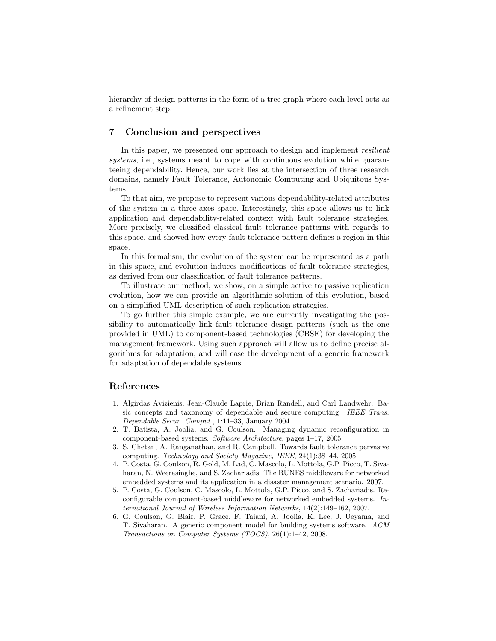hierarchy of design patterns in the form of a tree-graph where each level acts as a refinement step.

## 7 Conclusion and perspectives

In this paper, we presented our approach to design and implement *resilient* systems, i.e., systems meant to cope with continuous evolution while guaranteeing dependability. Hence, our work lies at the intersection of three research domains, namely Fault Tolerance, Autonomic Computing and Ubiquitous Systems.

To that aim, we propose to represent various dependability-related attributes of the system in a three-axes space. Interestingly, this space allows us to link application and dependability-related context with fault tolerance strategies. More precisely, we classified classical fault tolerance patterns with regards to this space, and showed how every fault tolerance pattern defines a region in this space.

In this formalism, the evolution of the system can be represented as a path in this space, and evolution induces modifications of fault tolerance strategies, as derived from our classification of fault tolerance patterns.

To illustrate our method, we show, on a simple active to passive replication evolution, how we can provide an algorithmic solution of this evolution, based on a simplified UML description of such replication strategies.

To go further this simple example, we are currently investigating the possibility to automatically link fault tolerance design patterns (such as the one provided in UML) to component-based technologies (CBSE) for developing the management framework. Using such approach will allow us to define precise algorithms for adaptation, and will ease the development of a generic framework for adaptation of dependable systems.

### References

- 1. Algirdas Avizienis, Jean-Claude Laprie, Brian Randell, and Carl Landwehr. Basic concepts and taxonomy of dependable and secure computing. IEEE Trans. Dependable Secur. Comput., 1:11–33, January 2004.
- 2. T. Batista, A. Joolia, and G. Coulson. Managing dynamic reconfiguration in component-based systems. Software Architecture, pages 1–17, 2005.
- 3. S. Chetan, A. Ranganathan, and R. Campbell. Towards fault tolerance pervasive computing. Technology and Society Magazine, IEEE, 24(1):38–44, 2005.
- 4. P. Costa, G. Coulson, R. Gold, M. Lad, C. Mascolo, L. Mottola, G.P. Picco, T. Sivaharan, N. Weerasinghe, and S. Zachariadis. The RUNES middleware for networked embedded systems and its application in a disaster management scenario. 2007.
- 5. P. Costa, G. Coulson, C. Mascolo, L. Mottola, G.P. Picco, and S. Zachariadis. Reconfigurable component-based middleware for networked embedded systems. International Journal of Wireless Information Networks, 14(2):149–162, 2007.
- 6. G. Coulson, G. Blair, P. Grace, F. Taiani, A. Joolia, K. Lee, J. Ueyama, and T. Sivaharan. A generic component model for building systems software. ACM Transactions on Computer Systems (TOCS), 26(1):1–42, 2008.